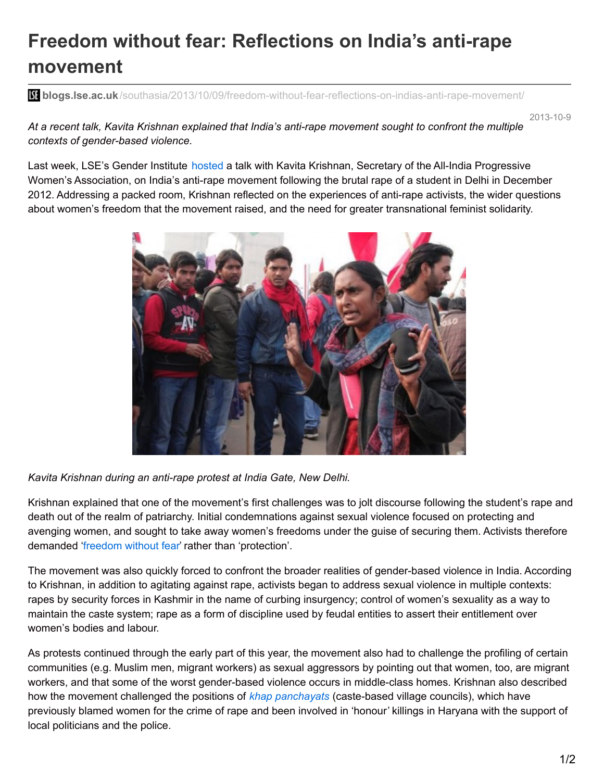## **Freedom without fear: Reflections on India's anti-rape movement**

**blogs.lse.ac.uk**[/southasia/2013/10/09/freedom-without-fear-reflections-on-indias-anti-rape-movement/](http://blogs.lse.ac.uk/southasia/2013/10/09/freedom-without-fear-reflections-on-indias-anti-rape-movement/)

2013-10-9

*At a recent talk, Kavita Krishnan explained that India's anti-rape movement sought to confront the multiple contexts of gender-based violence.*

Last week, LSE's Gender Institute [hosted](http://www.lse.ac.uk/genderInstitute/events/eventsProfiles/201314/kavitaKrishnan2013.aspx) a talk with Kavita Krishnan, Secretary of the All-India Progressive Women's Association, on India's anti-rape movement following the brutal rape of a student in Delhi in December 2012. Addressing a packed room, Krishnan reflected on the experiences of anti-rape activists, the wider questions about women's freedom that the movement raised, and the need for greater transnational feminist solidarity.



*Kavita Krishnan during an anti-rape protest at India Gate, New Delhi.*

Krishnan explained that one of the movement's first challenges was to jolt discourse following the student's rape and death out of the realm of patriarchy. Initial condemnations against sexual violence focused on protecting and avenging women, and sought to take away women's freedoms under the guise of securing them. Activists therefore demanded ['freedom](http://blogs.lse.ac.uk/southasia/2013/01/22/dont-teach-me-what-to-wear/) without fear' rather than 'protection'.

The movement was also quickly forced to confront the broader realities of gender-based violence in India. According to Krishnan, in addition to agitating against rape, activists began to address sexual violence in multiple contexts: rapes by security forces in Kashmir in the name of curbing insurgency; control of women's sexuality as a way to maintain the caste system; rape as a form of discipline used by feudal entities to assert their entitlement over women's bodies and labour.

As protests continued through the early part of this year, the movement also had to challenge the profiling of certain communities (e.g. Muslim men, migrant workers) as sexual aggressors by pointing out that women, too, are migrant workers, and that some of the worst gender-based violence occurs in middle-class homes. Krishnan also described how the movement challenged the positions of *khap [panchayats](http://india.blogs.nytimes.com/2012/10/23/does-india-still-need-khap-panchayats/?_r=0)* (caste-based village councils), which have previously blamed women for the crime of rape and been involved in 'honour' killings in Haryana with the support of local politicians and the police.